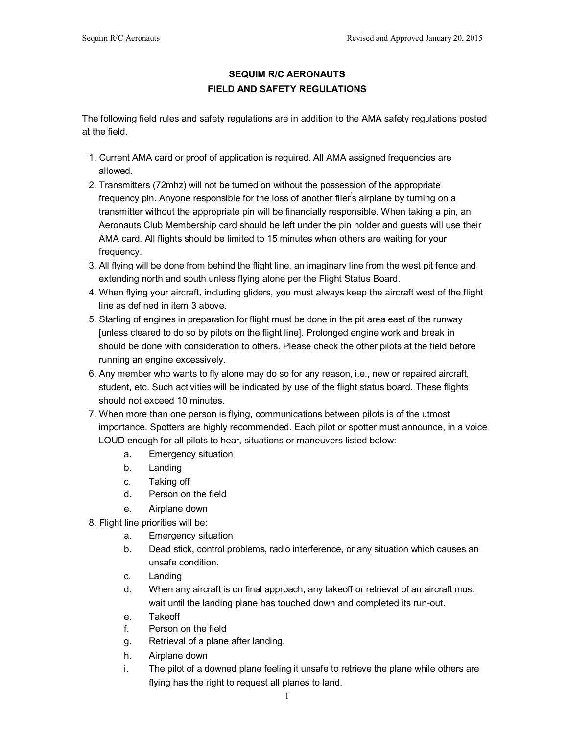## **SEQUIM R/C AERONAUTS FIELD AND SAFETY REGULATIONS**

The following field rules and safety regulations are in addition to the AMA safety regulations posted at the field.

- 1. Current AMA card or proof of application is required. All AMA assigned frequencies are allowed.
- 2. Transmitters (72mhz) will not be turned on without the possession of the appropriate frequency pin. Anyone responsible for the loss of another flier' s airplane by turning on a transmitter without the appropriate pin will be financially responsible. When taking a pin, an Aeronauts Club Membership card should be left under the pin holder and guests will use their AMA card. All flights should be limited to 15 minutes when others are waiting for your frequency.
- 3. All flying will be done from behind the flight line, an imaginary line from the west pit fence and extending north and south unless flying alone per the Flight Status Board.
- 4. When flying your aircraft, including gliders, you must always keep the aircraft west of the flight line as defined in item 3 above.
- 5. Starting of engines in preparation for flight must be done in the pit area east of the runway [unless cleared to do so by pilots on the flight line]. Prolonged engine work and break in should be done with consideration to others. Please check the other pilots at the field before running an engine excessively.
- 6. Any member who wants to fly alone may do so for any reason, i.e., new or repaired aircraft, student, etc. Such activities will be indicated by use of the flight status board. These flights should not exceed 10 minutes.
- 7. When more than one person is flying, communications between pilots is of the utmost importance. Spotters are highly recommended. Each pilot or spotter must announce, in a voice LOUD enough for all pilots to hear, situations or maneuvers listed below:
	- a. Emergency situation
	- b. Landing
	- c. Taking off
	- d. Person on the field
	- e. Airplane down
- 8. Flight line priorities will be:
	- a. Emergency situation
	- b. Dead stick, control problems, radio interference, or any situation which causes an unsafe condition.
	- c. Landing
	- d. When any aircraft is on final approach, any takeoff or retrieval of an aircraft must wait until the landing plane has touched down and completed its run-out.
	- e. Takeoff
	- f. Person on the field
	- g. Retrieval of a plane after landing.
	- h. Airplane down
	- i. The pilot of a downed plane feeling it unsafe to retrieve the plane while others are flying has the right to request all planes to land.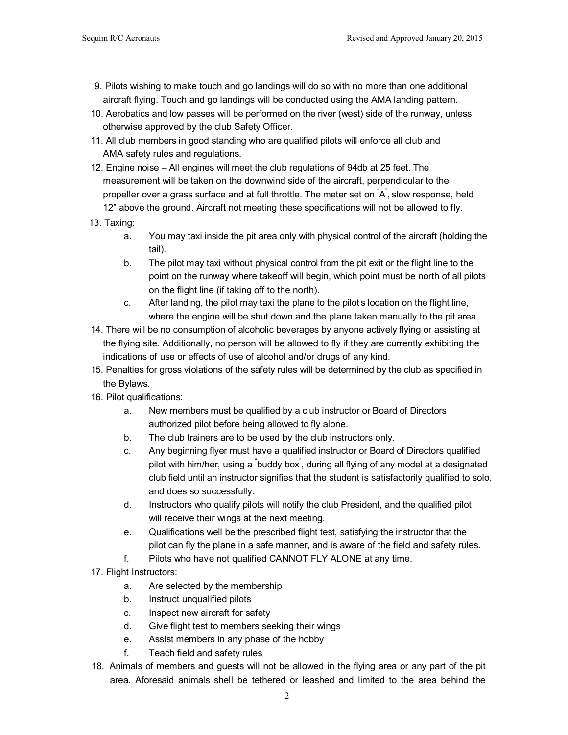- 9. Pilots wishing to make touch and go landings will do so with no more than one additional aircraft flying. Touch and go landings will be conducted using the AMA landing pattern.
- 10. Aerobatics and low passes will be performed on the river (west) side of the runway, unless otherwise approved by the club Safety Officer.
- 11. All club members in good standing who are qualified pilots will enforce all club and AMA safety rules and regulations.
- 12. Engine noise All engines will meet the club regulations of 94db at 25 feet. The measurement will be taken on the downwind side of the aircraft, perpendicular to the propeller over a grass surface and at full throttle. The meter set on  $\hat{A}$ , slow response, held 12" above the ground. Aircraft not meeting these specifications will not be allowed to fly.
- 13. Taxing:
	- a. You may taxi inside the pit area only with physical control of the aircraft (holding the tail).
	- b. The pilot may taxi without physical control from the pit exit or the flight line to the point on the runway where takeoff will begin, which point must be north of all pilots on the flight line (if taking off to the north).
	- c. After landing, the pilot may taxi the plane to the pilot' s location on the flight line, where the engine will be shut down and the plane taken manually to the pit area.
- 14. There will be no consumption of alcoholic beverages by anyone actively flying or assisting at the flying site. Additionally, no person will be allowed to fly if they are currently exhibiting the indications of use or effects of use of alcohol and/or drugs of any kind.
- 15. Penalties for gross violations of the safety rules will be determined by the club as specified in the Bylaws.
- 16. Pilot qualifications:
	- a. New members must be qualified by a club instructor or Board of Directors authorized pilot before being allowed to fly alone.
	- b. The club trainers are to be used by the club instructors only.
	- c. Any beginning flyer must have a qualified instructor or Board of Directors qualified pilot with him/her, using a <sup>"</sup>buddy box<sup>"</sup>, during all flying of any model at a designated club field until an instructor signifies that the student is satisfactorily qualified to solo, and does so successfully.
	- d. Instructors who qualify pilots will notify the club President, and the qualified pilot will receive their wings at the next meeting.
	- e. Qualifications well be the prescribed flight test, satisfying the instructor that the pilot can fly the plane in a safe manner, and is aware of the field and safety rules.
	- f. Pilots who have not qualified CANNOT FLY ALONE at any time.
- 17. Flight Instructors:
	- a. Are selected by the membership
	- b. Instruct unqualified pilots
	- c. Inspect new aircraft for safety
	- d. Give flight test to members seeking their wings
	- e. Assist members in any phase of the hobby
	- f. Teach field and safety rules
- 18. Animals of members and guests will not be allowed in the flying area or any part of the pit area. Aforesaid animals shell be tethered or leashed and limited to the area behind the